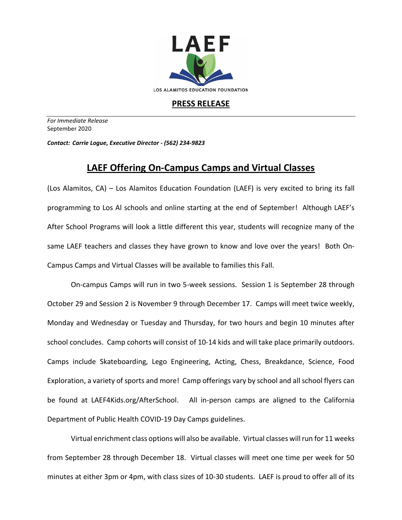

## **PRESS RELEASE**

*For Immediate Release*  September 2020

*Contact: Carrie Logue, Executive Director - (562) 234-9823*

## **LAEF Offering On-Campus Camps and Virtual Classes**

(Los Alamitos, CA) – Los Alamitos Education Foundation (LAEF) is very excited to bring its fall programming to Los Al schools and online starting at the end of September! Although LAEF's After School Programs will look a little different this year, students will recognize many of the same LAEF teachers and classes they have grown to know and love over the years! Both On-Campus Camps and Virtual Classes will be available to families this Fall.

On-campus Camps will run in two 5-week sessions. Session 1 is September 28 through October 29 and Session 2 is November 9 through December 17. Camps will meet twice weekly, Monday and Wednesday or Tuesday and Thursday, for two hours and begin 10 minutes after school concludes. Camp cohorts will consist of 10-14 kids and will take place primarily outdoors. Camps include Skateboarding, Lego Engineering, Acting, Chess, Breakdance, Science, Food Exploration, a variety of sports and more! Camp offerings vary by school and all school flyers can be found at LAEF4Kids.org/AfterSchool. All in-person camps are aligned to the California Department of Public Health COVID-19 Day Camps guidelines.

Virtual enrichment class options will also be available. Virtual classes will run for 11 weeks from September 28 through December 18. Virtual classes will meet one time per week for 50 minutes at either 3pm or 4pm, with class sizes of 10-30 students. LAEF is proud to offer all of its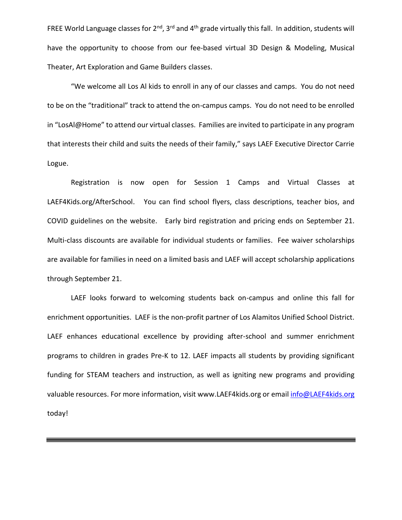FREE World Language classes for  $2^{nd}$ , 3<sup>rd</sup> and 4<sup>th</sup> grade virtually this fall. In addition, students will have the opportunity to choose from our fee-based virtual 3D Design & Modeling, Musical Theater, Art Exploration and Game Builders classes.

"We welcome all Los Al kids to enroll in any of our classes and camps. You do not need to be on the "traditional" track to attend the on-campus camps. You do not need to be enrolled in "LosAl@Home" to attend our virtual classes. Families are invited to participate in any program that interests their child and suits the needs of their family," says LAEF Executive Director Carrie Logue.

Registration is now open for Session 1 Camps and Virtual Classes at LAEF4Kids.org/AfterSchool. You can find school flyers, class descriptions, teacher bios, and COVID guidelines on the website. Early bird registration and pricing ends on September 21. Multi-class discounts are available for individual students or families. Fee waiver scholarships are available for families in need on a limited basis and LAEF will accept scholarship applications through September 21.

LAEF looks forward to welcoming students back on-campus and online this fall for enrichment opportunities. LAEF is the non-profit partner of Los Alamitos Unified School District. LAEF enhances educational excellence by providing after-school and summer enrichment programs to children in grades Pre-K to 12. LAEF impacts all students by providing significant funding for STEAM teachers and instruction, as well as igniting new programs and providing valuable resources. For more information, visit www.LAEF4kids.org or emai[l info@LAEF4kids.org](mailto:info@LAEF4kids.org) today!